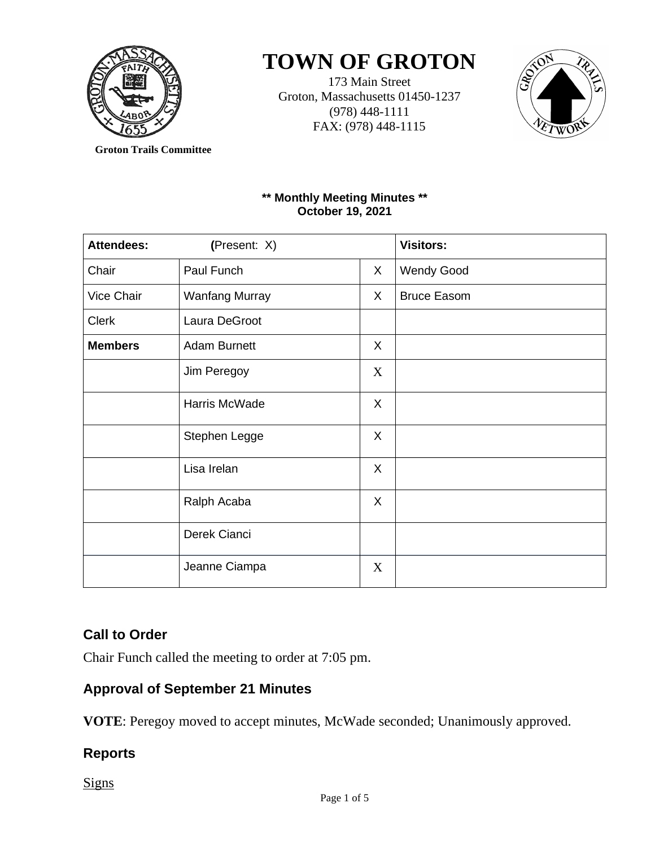

# **TOWN OF GROTON**

173 Main Street Groton, Massachusetts 01450-1237 (978) 448-1111 FAX: (978) 448-1115



**Groton Trails Committee**

## **\*\* Monthly Meeting Minutes \*\* October 19, 2021**

| <b>Attendees:</b> | (Present: X)          |    | <b>Visitors:</b>   |
|-------------------|-----------------------|----|--------------------|
| Chair             | Paul Funch            | X  | <b>Wendy Good</b>  |
| Vice Chair        | <b>Wanfang Murray</b> | X  | <b>Bruce Easom</b> |
| <b>Clerk</b>      | Laura DeGroot         |    |                    |
| <b>Members</b>    | <b>Adam Burnett</b>   | X. |                    |
|                   | Jim Peregoy           | X  |                    |
|                   | Harris McWade         | X  |                    |
|                   | Stephen Legge         | X  |                    |
|                   | Lisa Irelan           | X  |                    |
|                   | Ralph Acaba           | X  |                    |
|                   | Derek Cianci          |    |                    |
|                   | Jeanne Ciampa         | X  |                    |

# **Call to Order**

Chair Funch called the meeting to order at 7:05 pm.

# **Approval of September 21 Minutes**

**VOTE**: Peregoy moved to accept minutes, McWade seconded; Unanimously approved.

# **Reports**

**Signs**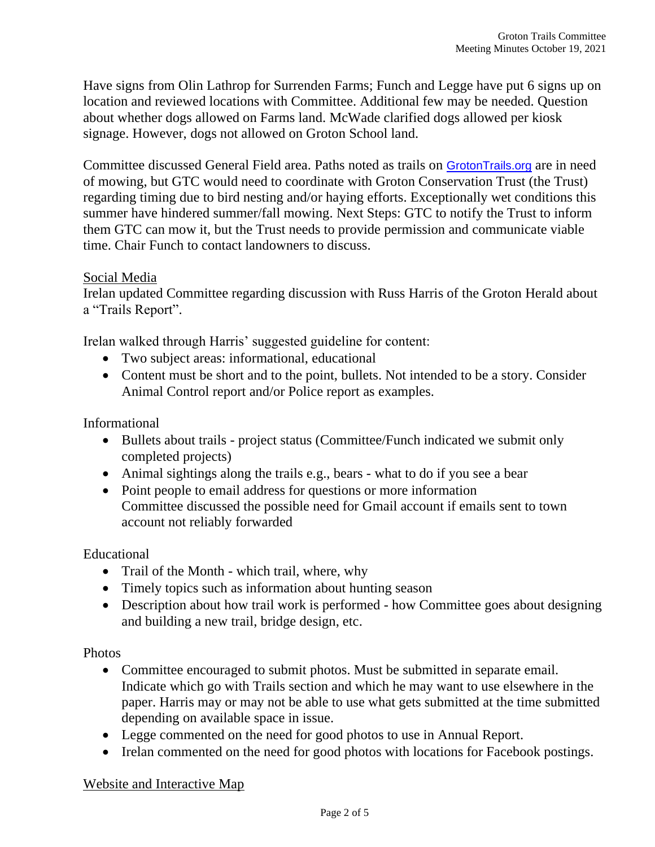Have signs from Olin Lathrop for Surrenden Farms; Funch and Legge have put 6 signs up on location and reviewed locations with Committee. Additional few may be needed. Question about whether dogs allowed on Farms land. McWade clarified dogs allowed per kiosk signage. However, dogs not allowed on Groton School land.

Committee discussed General Field area. Paths noted as trails on [GrotonTrails.org](http://grotontrails.org/) are in need of mowing, but GTC would need to coordinate with Groton Conservation Trust (the Trust) regarding timing due to bird nesting and/or haying efforts. Exceptionally wet conditions this summer have hindered summer/fall mowing. Next Steps: GTC to notify the Trust to inform them GTC can mow it, but the Trust needs to provide permission and communicate viable time. Chair Funch to contact landowners to discuss.

### Social Media

Irelan updated Committee regarding discussion with Russ Harris of the Groton Herald about a "Trails Report".

Irelan walked through Harris' suggested guideline for content:

- Two subject areas: informational, educational
- Content must be short and to the point, bullets. Not intended to be a story. Consider Animal Control report and/or Police report as examples.

Informational

- Bullets about trails project status (Committee/Funch indicated we submit only completed projects)
- Animal sightings along the trails e.g., bears what to do if you see a bear
- Point people to email address for questions or more information Committee discussed the possible need for Gmail account if emails sent to town account not reliably forwarded

Educational

- Trail of the Month which trail, where, why
- Timely topics such as information about hunting season
- Description about how trail work is performed how Committee goes about designing and building a new trail, bridge design, etc.

Photos

- Committee encouraged to submit photos. Must be submitted in separate email. Indicate which go with Trails section and which he may want to use elsewhere in the paper. Harris may or may not be able to use what gets submitted at the time submitted depending on available space in issue.
- Legge commented on the need for good photos to use in Annual Report.
- Irelan commented on the need for good photos with locations for Facebook postings.

### Website and Interactive Map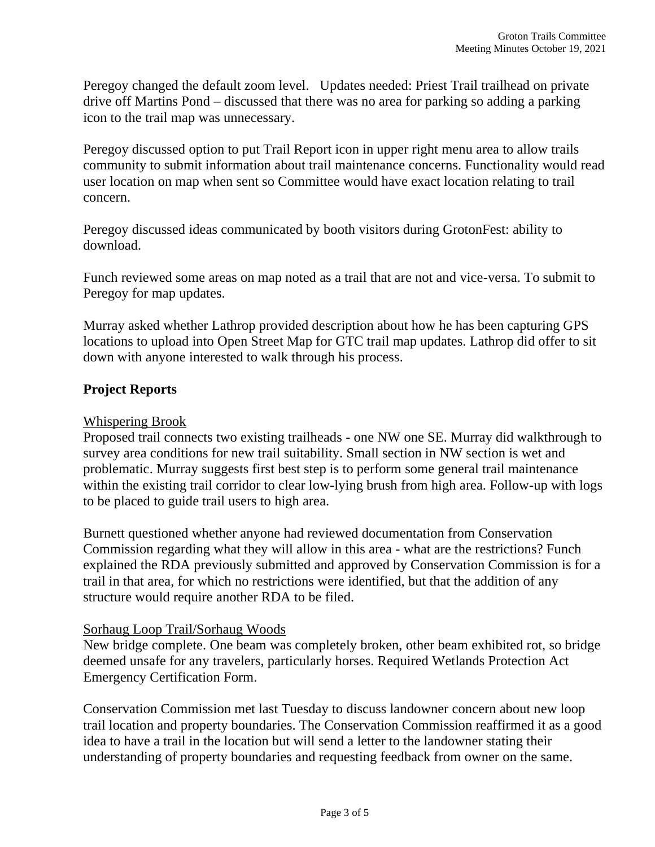Peregoy changed the default zoom level. Updates needed: Priest Trail trailhead on private drive off Martins Pond – discussed that there was no area for parking so adding a parking icon to the trail map was unnecessary.

Peregoy discussed option to put Trail Report icon in upper right menu area to allow trails community to submit information about trail maintenance concerns. Functionality would read user location on map when sent so Committee would have exact location relating to trail concern.

Peregoy discussed ideas communicated by booth visitors during GrotonFest: ability to download.

Funch reviewed some areas on map noted as a trail that are not and vice-versa. To submit to Peregoy for map updates.

Murray asked whether Lathrop provided description about how he has been capturing GPS locations to upload into Open Street Map for GTC trail map updates. Lathrop did offer to sit down with anyone interested to walk through his process.

## **Project Reports**

## Whispering Brook

Proposed trail connects two existing trailheads - one NW one SE. Murray did walkthrough to survey area conditions for new trail suitability. Small section in NW section is wet and problematic. Murray suggests first best step is to perform some general trail maintenance within the existing trail corridor to clear low-lying brush from high area. Follow-up with logs to be placed to guide trail users to high area.

Burnett questioned whether anyone had reviewed documentation from Conservation Commission regarding what they will allow in this area - what are the restrictions? Funch explained the RDA previously submitted and approved by Conservation Commission is for a trail in that area, for which no restrictions were identified, but that the addition of any structure would require another RDA to be filed.

### Sorhaug Loop Trail/Sorhaug Woods

New bridge complete. One beam was completely broken, other beam exhibited rot, so bridge deemed unsafe for any travelers, particularly horses. Required Wetlands Protection Act Emergency Certification Form.

Conservation Commission met last Tuesday to discuss landowner concern about new loop trail location and property boundaries. The Conservation Commission reaffirmed it as a good idea to have a trail in the location but will send a letter to the landowner stating their understanding of property boundaries and requesting feedback from owner on the same.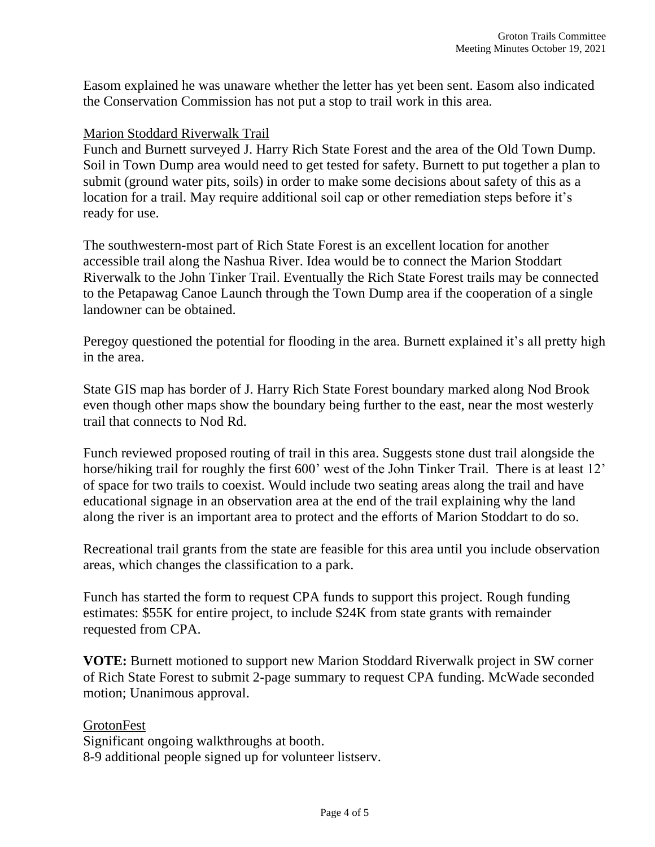Easom explained he was unaware whether the letter has yet been sent. Easom also indicated the Conservation Commission has not put a stop to trail work in this area.

#### Marion Stoddard Riverwalk Trail

Funch and Burnett surveyed J. Harry Rich State Forest and the area of the Old Town Dump. Soil in Town Dump area would need to get tested for safety. Burnett to put together a plan to submit (ground water pits, soils) in order to make some decisions about safety of this as a location for a trail. May require additional soil cap or other remediation steps before it's ready for use.

The southwestern-most part of Rich State Forest is an excellent location for another accessible trail along the Nashua River. Idea would be to connect the Marion Stoddart Riverwalk to the John Tinker Trail. Eventually the Rich State Forest trails may be connected to the Petapawag Canoe Launch through the Town Dump area if the cooperation of a single landowner can be obtained.

Peregoy questioned the potential for flooding in the area. Burnett explained it's all pretty high in the area.

State GIS map has border of J. Harry Rich State Forest boundary marked along Nod Brook even though other maps show the boundary being further to the east, near the most westerly trail that connects to Nod Rd.

Funch reviewed proposed routing of trail in this area. Suggests stone dust trail alongside the horse/hiking trail for roughly the first 600' west of the John Tinker Trail. There is at least 12' of space for two trails to coexist. Would include two seating areas along the trail and have educational signage in an observation area at the end of the trail explaining why the land along the river is an important area to protect and the efforts of Marion Stoddart to do so.

Recreational trail grants from the state are feasible for this area until you include observation areas, which changes the classification to a park.

Funch has started the form to request CPA funds to support this project. Rough funding estimates: \$55K for entire project, to include \$24K from state grants with remainder requested from CPA.

**VOTE:** Burnett motioned to support new Marion Stoddard Riverwalk project in SW corner of Rich State Forest to submit 2-page summary to request CPA funding. McWade seconded motion; Unanimous approval.

### **GrotonFest**

Significant ongoing walkthroughs at booth. 8-9 additional people signed up for volunteer listserv.